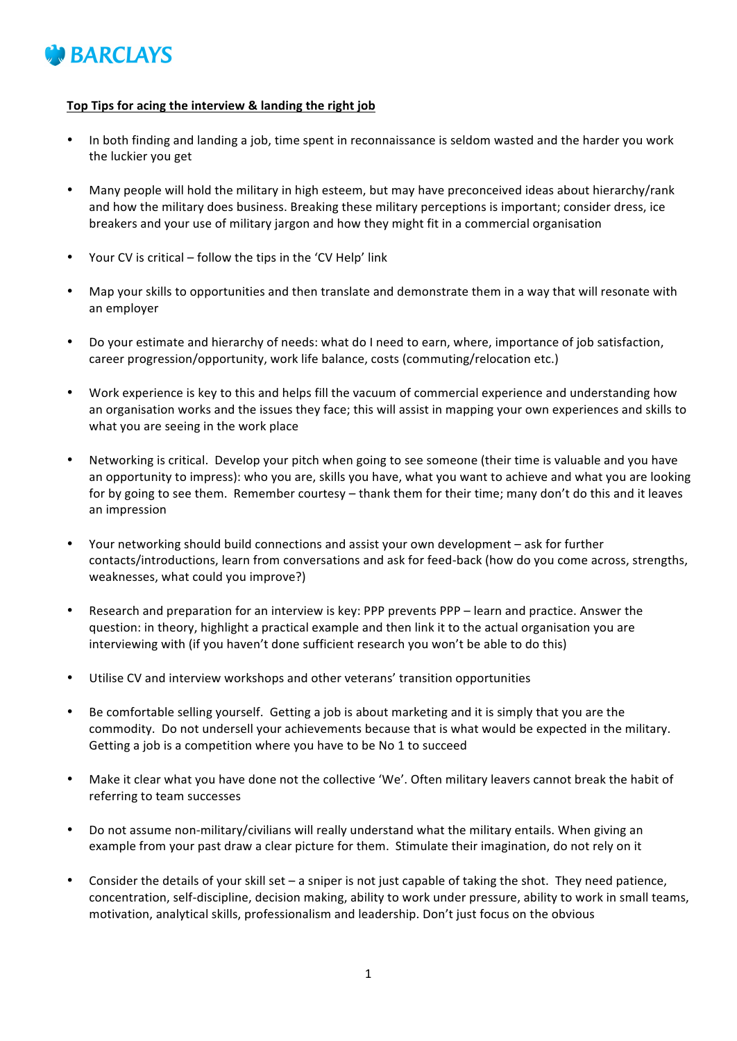

## Top Tips for acing the interview & landing the right job

- In both finding and landing a job, time spent in reconnaissance is seldom wasted and the harder you work the luckier you get
- Many people will hold the military in high esteem, but may have preconceived ideas about hierarchy/rank and how the military does business. Breaking these military perceptions is important; consider dress, ice breakers and your use of military jargon and how they might fit in a commercial organisation
- Your CV is critical follow the tips in the 'CV Help' link
- Map your skills to opportunities and then translate and demonstrate them in a way that will resonate with an employer
- Do your estimate and hierarchy of needs: what do I need to earn, where, importance of job satisfaction, career progression/opportunity, work life balance, costs (commuting/relocation etc.)
- Work experience is key to this and helps fill the vacuum of commercial experience and understanding how an organisation works and the issues they face; this will assist in mapping your own experiences and skills to what you are seeing in the work place
- Networking is critical. Develop your pitch when going to see someone (their time is valuable and you have an opportunity to impress): who you are, skills you have, what you want to achieve and what you are looking for by going to see them. Remember courtesy – thank them for their time; many don't do this and it leaves an impression
- Your networking should build connections and assist your own development ask for further contacts/introductions, learn from conversations and ask for feed-back (how do you come across, strengths, weaknesses, what could you improve?)
- Research and preparation for an interview is key: PPP prevents PPP learn and practice. Answer the question: in theory, highlight a practical example and then link it to the actual organisation you are interviewing with (if you haven't done sufficient research you won't be able to do this)
- Utilise CV and interview workshops and other veterans' transition opportunities
- Be comfortable selling yourself. Getting a job is about marketing and it is simply that you are the commodity. Do not undersell your achievements because that is what would be expected in the military. Getting a job is a competition where you have to be No 1 to succeed
- Make it clear what you have done not the collective 'We'. Often military leavers cannot break the habit of referring to team successes
- Do not assume non-military/civilians will really understand what the military entails. When giving an example from your past draw a clear picture for them. Stimulate their imagination, do not rely on it
- Consider the details of your skill set  $-$  a sniper is not just capable of taking the shot. They need patience, concentration, self-discipline, decision making, ability to work under pressure, ability to work in small teams, motivation, analytical skills, professionalism and leadership. Don't just focus on the obvious